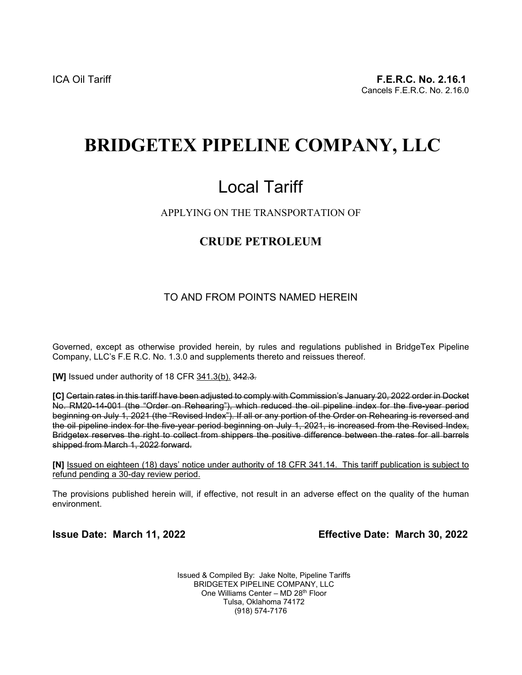## **BRIDGETEX PIPELINE COMPANY, LLC**

# Local Tariff

#### APPLYING ON THE TRANSPORTATION OF

## **CRUDE PETROLEUM**

#### TO AND FROM POINTS NAMED HEREIN

Governed, except as otherwise provided herein, by rules and regulations published in BridgeTex Pipeline Company, LLC's F.E R.C. No. 1.3.0 and supplements thereto and reissues thereof.

**[W]** Issued under authority of 18 CFR 341.3(b). 342.3*.*

**[C]** Certain rates in this tariff have been adjusted to comply with Commission's January 20, 2022 order in Docket No. RM20-14-001 (the "Order on Rehearing"), which reduced the oil pipeline index for the five-year period beginning on July 1, 2021 (the "Revised Index"). If all or any portion of the Order on Rehearing is reversed and the oil pipeline index for the five-year period beginning on July 1, 2021, is increased from the Revised Index, Bridgetex reserves the right to collect from shippers the positive difference between the rates for all barrels shipped from March 1, 2022 forward.

**[N]** Issued on eighteen (18) days' notice under authority of 18 CFR 341.14. This tariff publication is subject to refund pending a 30-day review period.

The provisions published herein will, if effective, not result in an adverse effect on the quality of the human environment.

**Issue Date: March 11, 2022 Effective Date: March 30, 2022**

Issued & Compiled By: Jake Nolte, Pipeline Tariffs BRIDGETEX PIPELINE COMPANY, LLC One Williams Center – MD 28th Floor Tulsa, Oklahoma 74172 (918) 574-7176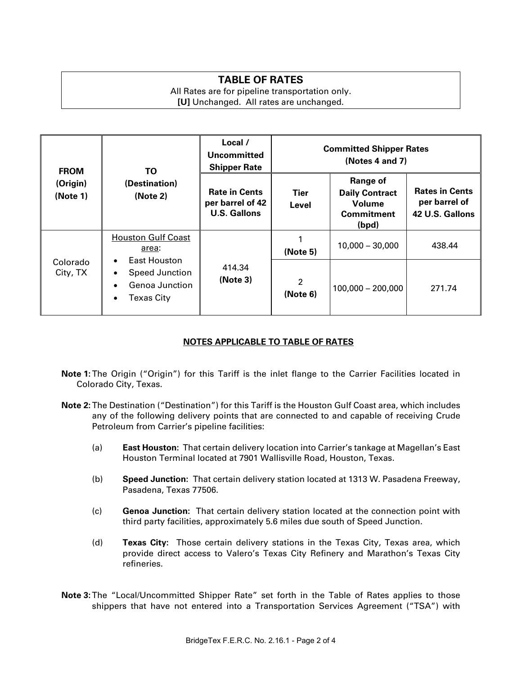### **TABLE OF RATES**

All Rates are for pipeline transportation only. **[U]** Unchanged. All rates are unchanged.

| <b>FROM</b><br>(Origin)<br>(Note 1) | ΤO<br>(Destination)<br>(Note 2)                                                                                                                                 | Local /<br><b>Committed Shipper Rates</b><br><b>Uncommitted</b><br>(Notes 4 and 7)<br><b>Shipper Rate</b> |                            |                                                                                  |                                                           |
|-------------------------------------|-----------------------------------------------------------------------------------------------------------------------------------------------------------------|-----------------------------------------------------------------------------------------------------------|----------------------------|----------------------------------------------------------------------------------|-----------------------------------------------------------|
|                                     |                                                                                                                                                                 | <b>Rate in Cents</b><br>per barrel of 42<br><b>U.S. Gallons</b>                                           | Tier<br>Level              | <b>Range of</b><br><b>Daily Contract</b><br>Volume<br><b>Commitment</b><br>(bpd) | <b>Rates in Cents</b><br>per barrel of<br>42 U.S. Gallons |
| Colorado<br>City, TX                | <b>Houston Gulf Coast</b><br>area:<br>East Houston<br>$\bullet$<br>Speed Junction<br>$\bullet$<br>Genoa Junction<br>$\bullet$<br><b>Texas City</b><br>$\bullet$ | 414.34<br>(Note 3)                                                                                        | (Note 5)                   | $10,000 - 30,000$                                                                | 438.44                                                    |
|                                     |                                                                                                                                                                 |                                                                                                           | $\overline{2}$<br>(Note 6) | $100,000 - 200,000$                                                              | 271.74                                                    |

#### **NOTES APPLICABLE TO TABLE OF RATES**

- **Note 1:**The Origin ("Origin") for this Tariff is the inlet flange to the Carrier Facilities located in Colorado City, Texas.
- **Note 2:**The Destination ("Destination") for this Tariff is the Houston Gulf Coast area, which includes any of the following delivery points that are connected to and capable of receiving Crude Petroleum from Carrier's pipeline facilities:
	- (a) **East Houston:** That certain delivery location into Carrier's tankage at Magellan's East Houston Terminal located at 7901 Wallisville Road, Houston, Texas.
	- (b) **Speed Junction:** That certain delivery station located at 1313 W. Pasadena Freeway, Pasadena, Texas 77506.
	- (c) **Genoa Junction:** That certain delivery station located at the connection point with third party facilities, approximately 5.6 miles due south of Speed Junction.
	- (d) **Texas City:** Those certain delivery stations in the Texas City, Texas area, which provide direct access to Valero's Texas City Refinery and Marathon's Texas City refineries.

**Note 3:**The "Local/Uncommitted Shipper Rate" set forth in the Table of Rates applies to those shippers that have not entered into a Transportation Services Agreement ("TSA") with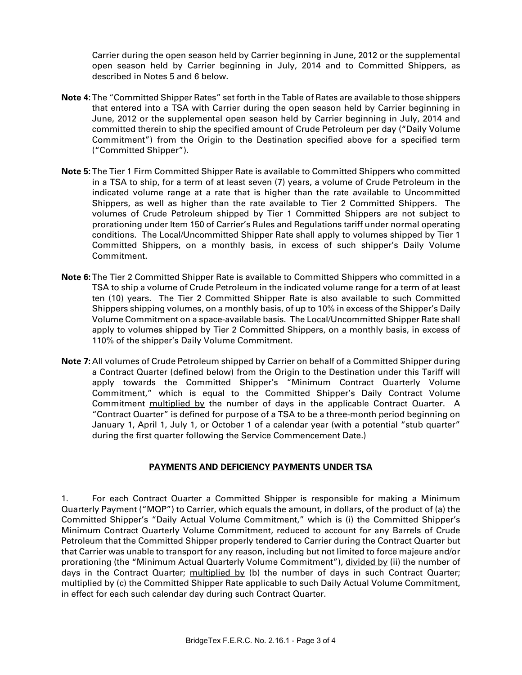Carrier during the open season held by Carrier beginning in June, 2012 or the supplemental open season held by Carrier beginning in July, 2014 and to Committed Shippers, as described in Notes 5 and 6 below.

- **Note 4:**The "Committed Shipper Rates" set forth in the Table of Rates are available to those shippers that entered into a TSA with Carrier during the open season held by Carrier beginning in June, 2012 or the supplemental open season held by Carrier beginning in July, 2014 and committed therein to ship the specified amount of Crude Petroleum per day ("Daily Volume Commitment") from the Origin to the Destination specified above for a specified term ("Committed Shipper").
- **Note 5:**The Tier 1 Firm Committed Shipper Rate is available to Committed Shippers who committed in a TSA to ship, for a term of at least seven (7) years, a volume of Crude Petroleum in the indicated volume range at a rate that is higher than the rate available to Uncommitted Shippers, as well as higher than the rate available to Tier 2 Committed Shippers. The volumes of Crude Petroleum shipped by Tier 1 Committed Shippers are not subject to prorationing under Item 150 of Carrier's Rules and Regulations tariff under normal operating conditions. The Local/Uncommitted Shipper Rate shall apply to volumes shipped by Tier 1 Committed Shippers, on a monthly basis, in excess of such shipper's Daily Volume Commitment.
- **Note 6:**The Tier 2 Committed Shipper Rate is available to Committed Shippers who committed in a TSA to ship a volume of Crude Petroleum in the indicated volume range for a term of at least ten (10) years. The Tier 2 Committed Shipper Rate is also available to such Committed Shippers shipping volumes, on a monthly basis, of up to 10% in excess of the Shipper's Daily Volume Commitment on a space-available basis. The Local/Uncommitted Shipper Rate shall apply to volumes shipped by Tier 2 Committed Shippers, on a monthly basis, in excess of 110% of the shipper's Daily Volume Commitment.
- **Note 7:** All volumes of Crude Petroleum shipped by Carrier on behalf of a Committed Shipper during a Contract Quarter (defined below) from the Origin to the Destination under this Tariff will apply towards the Committed Shipper's "Minimum Contract Quarterly Volume Commitment," which is equal to the Committed Shipper's Daily Contract Volume Commitment multiplied by the number of days in the applicable Contract Quarter. A "Contract Quarter" is defined for purpose of a TSA to be a three-month period beginning on January 1, April 1, July 1, or October 1 of a calendar year (with a potential "stub quarter" during the first quarter following the Service Commencement Date.)

#### **PAYMENTS AND DEFICIENCY PAYMENTS UNDER TSA**

1. For each Contract Quarter a Committed Shipper is responsible for making a Minimum Quarterly Payment ("MQP") to Carrier, which equals the amount, in dollars, of the product of (a) the Committed Shipper's "Daily Actual Volume Commitment," which is (i) the Committed Shipper's Minimum Contract Quarterly Volume Commitment, reduced to account for any Barrels of Crude Petroleum that the Committed Shipper properly tendered to Carrier during the Contract Quarter but that Carrier was unable to transport for any reason, including but not limited to force majeure and/or prorationing (the "Minimum Actual Quarterly Volume Commitment"), divided by (ii) the number of days in the Contract Quarter; multiplied by (b) the number of days in such Contract Quarter; multiplied by (c) the Committed Shipper Rate applicable to such Daily Actual Volume Commitment, in effect for each such calendar day during such Contract Quarter.